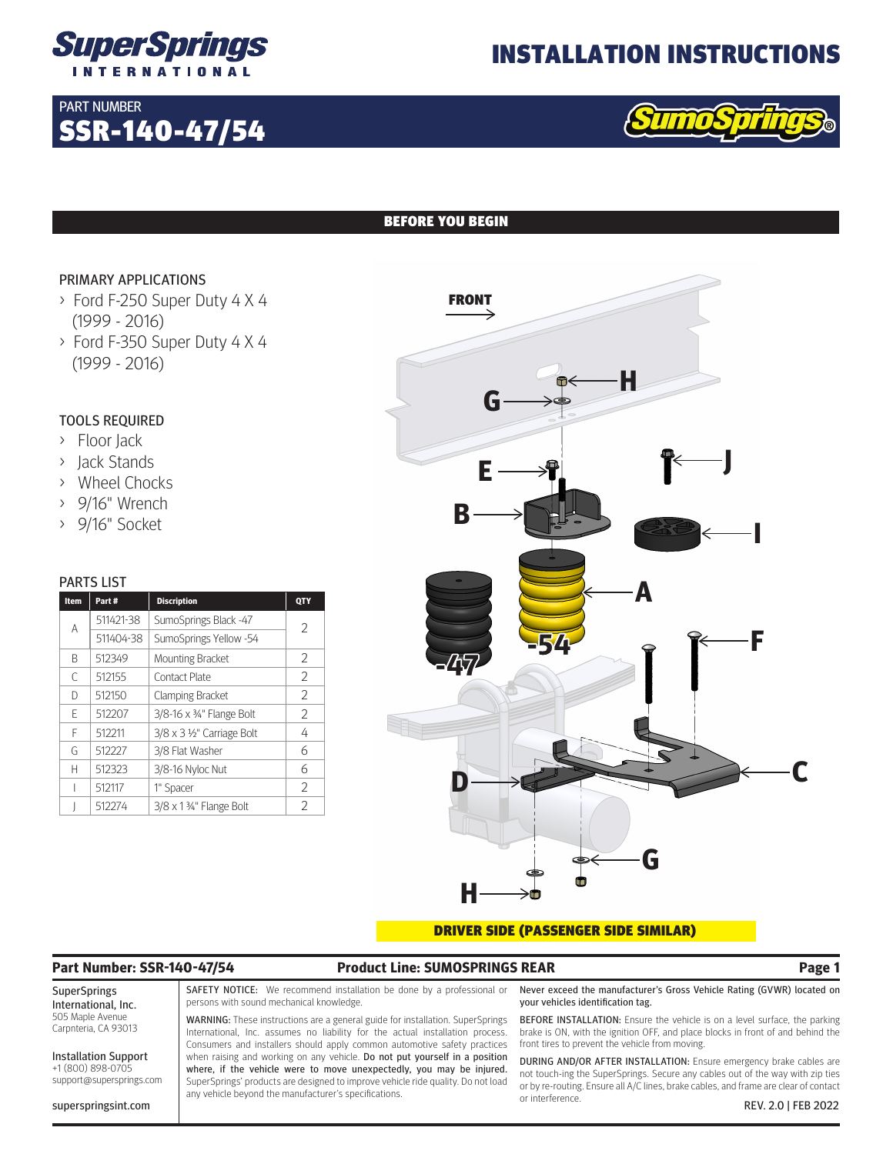

SSR-140-47/54

# INSTALLATION INSTRUCTIONS



## BEFORE YOU BEGIN

## PRIMARY APPLICATIONS

PART NUMBER

- > Ford F-250 Super Duty 4 X 4 (1999 - 2016)
- > Ford F-350 Super Duty 4 X 4 (1999 - 2016)

# TOOLS REQUIRED

- > Floor Jack
- > Jack Stands
- > Wheel Chocks
- > 9/16" Wrench
- > 9/16" Socket

### PARTS LIST

| Item | Part#     | <b>Discription</b>         | QTY            |
|------|-----------|----------------------------|----------------|
| A    | 511421-38 | SumoSprings Black -47      | $\overline{2}$ |
|      | 511404-38 | SumoSprings Yellow -54     |                |
| R    | 512349    | <b>Mounting Bracket</b>    | 2              |
| C    | 512155    | <b>Contact Plate</b>       | 2              |
| D    | 512150    | <b>Clamping Bracket</b>    | 2              |
| F    | 512207    | 3/8-16 x 3/4" Flange Bolt  | 2              |
| F    | 512211    | 3/8 x 3 1/2" Carriage Bolt | 4              |
| G    | 512227    | 3/8 Flat Washer            | 6              |
| Н    | 512323    | 3/8-16 Nyloc Nut           | 6              |
|      | 512117    | 1" Spacer                  | 2              |
|      | 512274    | 3/8 x 1 3/4" Flange Bolt   | C              |



### DRIVER SIDE (PASSENGER SIDE SIMILAR)

# **Part Number: SSR-140-47/54 Product Line: SUMOSPRINGS REAR Page 1**

#### SuperSprings International, Inc. 505 Maple Avenue Carpnteria, CA 93013

Installation Support +1 (800) 898-0705 support@supersprings.com

superspringsint.com

SAFETY NOTICE: We recommend installation be done by a professional or persons with sound mechanical knowledge.

WARNING: These instructions are a general guide for installation. SuperSprings International, Inc. assumes no liability for the actual installation process. Consumers and installers should apply common automotive safety practices when raising and working on any vehicle. Do not put yourself in a position where, if the vehicle were to move unexpectedly, you may be injured. SuperSprings' products are designed to improve vehicle ride quality. Do not load any vehicle beyond the manufacturer's specifications.

Never exceed the manufacturer's Gross Vehicle Rating (GVWR) located on your vehicles identification tag.

BEFORE INSTALLATION: Ensure the vehicle is on a level surface, the parking brake is ON, with the ignition OFF, and place blocks in front of and behind the front tires to prevent the vehicle from moving.

DURING AND/OR AFTER INSTALLATION: Ensure emergency brake cables are not touch-ing the SuperSprings. Secure any cables out of the way with zip ties or by re-routing. Ensure all A/C lines, brake cables, and frame are clear of contact or interference. REV. 2.0 | FEB 2022